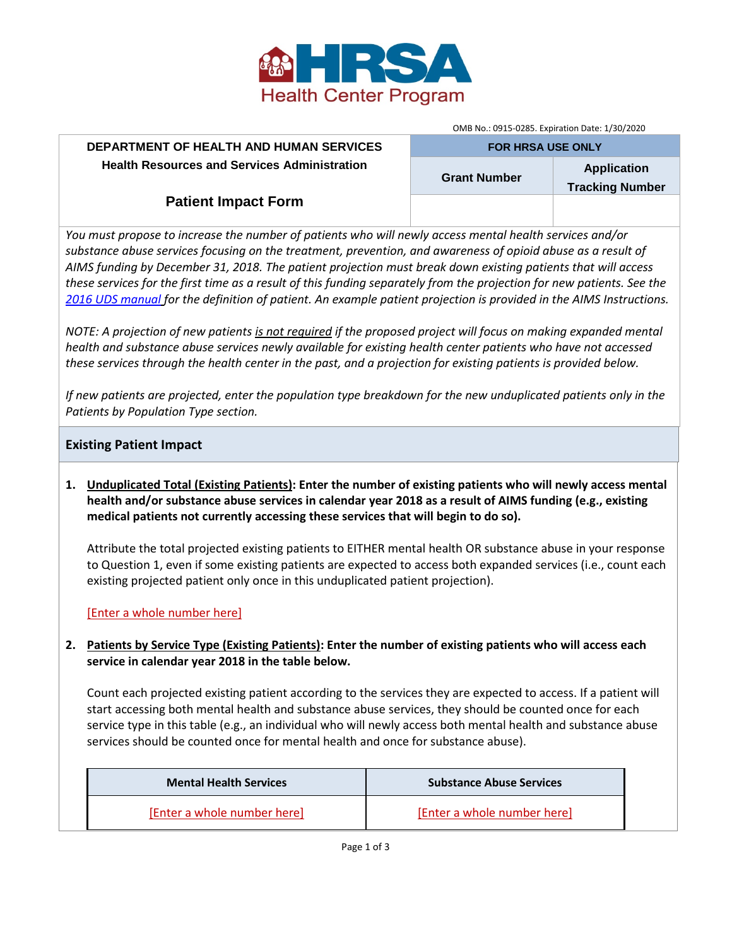

OMB No.: 0915-0285. Expiration Date: 1/30/2020 **FOR HRSA USE ONLY**

# **DEPARTMENT OF HEALTH AND HUMAN SERVICES Health Resources and Services Administration**

**Grant Number Application Tracking Number**

# **Patient Impact Form**

*You must propose to increase the number of patients who will newly access mental health services and/or substance abuse services focusing on the treatment, prevention, and awareness of opioid abuse as a result of AIMS funding by December 31, 2018. The patient projection must break down existing patients that will access these services for the first time as a result of this funding separately from the projection for new patients. See the [2016 UDS manual](https://bphc.hrsa.gov/datareporting/reporting/2016udsreportingmanual.pdf) for the definition of patient. An example patient projection is provided in the AIMS Instructions.* 

*NOTE: A projection of new patients is not required if the proposed project will focus on making expanded mental health and substance abuse services newly available for existing health center patients who have not accessed these services through the health center in the past, and a projection for existing patients is provided below.*

*If new patients are projected, enter the population type breakdown for the new unduplicated patients only in the Patients by Population Type section.*

# **Existing Patient Impact**

**1. Unduplicated Total (Existing Patients): Enter the number of existing patients who will newly access mental health and/or substance abuse services in calendar year 2018 as a result of AIMS funding (e.g., existing medical patients not currently accessing these services that will begin to do so).**

Attribute the total projected existing patients to EITHER mental health OR substance abuse in your response to Question 1, even if some existing patients are expected to access both expanded services (i.e., count each existing projected patient only once in this unduplicated patient projection).

## [Enter a whole number here]

# **2. Patients by Service Type (Existing Patients): Enter the number of existing patients who will access each service in calendar year 2018 in the table below.**

Count each projected existing patient according to the services they are expected to access. If a patient will start accessing both mental health and substance abuse services, they should be counted once for each service type in this table (e.g., an individual who will newly access both mental health and substance abuse services should be counted once for mental health and once for substance abuse).

| <b>Mental Health Services</b> | <b>Substance Abuse Services</b> |
|-------------------------------|---------------------------------|
| [Enter a whole number here]   | [Enter a whole number here]     |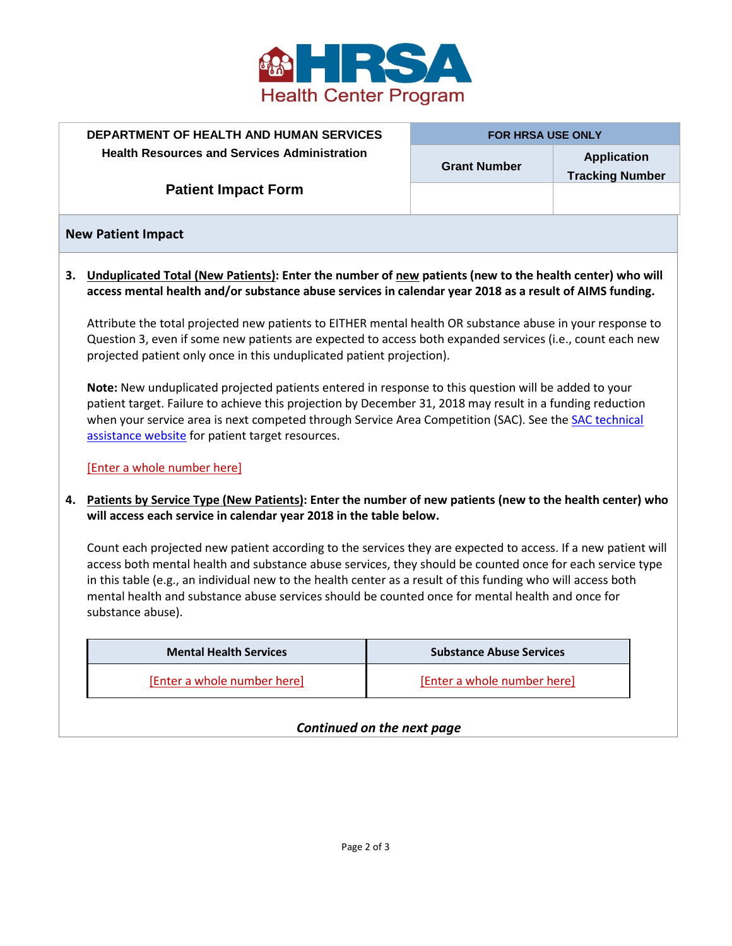

|                            | <b>DEPARTMENT OF HEALTH AND HUMAN SERVICES</b>                                                                                                                                                                        | <b>FOR HRSA USE ONLY</b> |                                              |  |  |  |
|----------------------------|-----------------------------------------------------------------------------------------------------------------------------------------------------------------------------------------------------------------------|--------------------------|----------------------------------------------|--|--|--|
|                            | <b>Health Resources and Services Administration</b>                                                                                                                                                                   | <b>Grant Number</b>      | <b>Application</b><br><b>Tracking Number</b> |  |  |  |
| <b>Patient Impact Form</b> |                                                                                                                                                                                                                       |                          |                                              |  |  |  |
|                            | <b>New Patient Impact</b>                                                                                                                                                                                             |                          |                                              |  |  |  |
|                            | 3. Unduplicated Total (New Patients): Enter the number of new patients (new to the health center) who will<br>access mental health and/or substance abuse services in calendar year 2018 as a result of AIMS funding. |                          |                                              |  |  |  |
|                            | Attribute the total projected new patients to EITHER mental health OR substance abuse in your response to                                                                                                             |                          |                                              |  |  |  |

Attribute the total projected new patients to EITHER mental health OR substance abuse in your response to Question 3, even if some new patients are expected to access both expanded services (i.e., count each new projected patient only once in this unduplicated patient projection).

**Note:** New unduplicated projected patients entered in response to this question will be added to your patient target. Failure to achieve this projection by December 31, 2018 may result in a funding reduction when your service area is next competed through Service Area Competition (SAC). See the **SAC technical** [assistance website](https://bphc.hrsa.gov/programopportunities/fundingopportunities/sac/index.html) for patient target resources.

#### [Enter a whole number here]

## **4. Patients by Service Type (New Patients): Enter the number of new patients (new to the health center) who will access each service in calendar year 2018 in the table below.**

Count each projected new patient according to the services they are expected to access. If a new patient will access both mental health and substance abuse services, they should be counted once for each service type in this table (e.g., an individual new to the health center as a result of this funding who will access both mental health and substance abuse services should be counted once for mental health and once for substance abuse).

| <b>Mental Health Services</b> | <b>Substance Abuse Services</b> |
|-------------------------------|---------------------------------|
| [Enter a whole number here]   | [Enter a whole number here]     |

## *Continued on the next page*